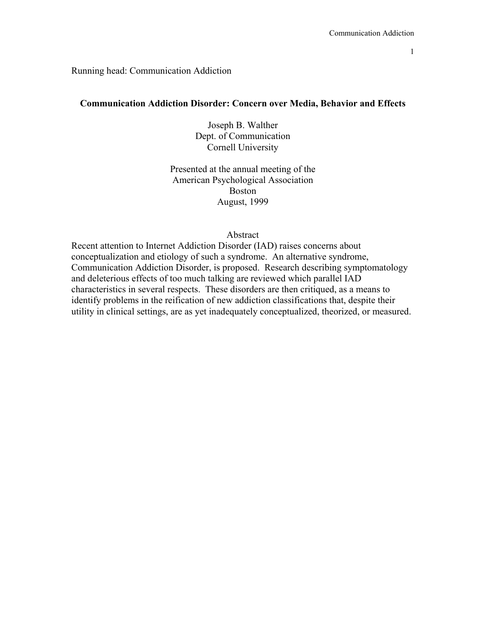#### Running head: Communication Addiction

### **Communication Addiction Disorder: Concern over Media, Behavior and Effects**

Joseph B. Walther Dept. of Communication Cornell University

Presented at the annual meeting of the American Psychological Association Boston August, 1999

#### Abstract

Recent attention to Internet Addiction Disorder (IAD) raises concerns about conceptualization and etiology of such a syndrome. An alternative syndrome, Communication Addiction Disorder, is proposed. Research describing symptomatology and deleterious effects of too much talking are reviewed which parallel IAD characteristics in several respects. These disorders are then critiqued, as a means to identify problems in the reification of new addiction classifications that, despite their utility in clinical settings, are as yet inadequately conceptualized, theorized, or measured.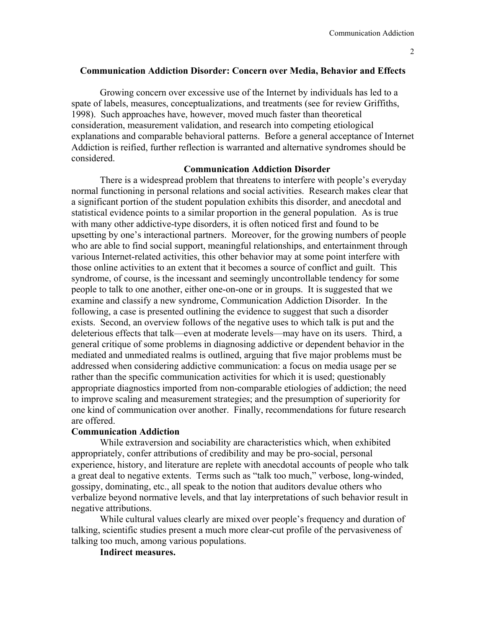# **Communication Addiction Disorder: Concern over Media, Behavior and Effects**

Growing concern over excessive use of the Internet by individuals has led to a spate of labels, measures, conceptualizations, and treatments (see for review Griffiths, 1998). Such approaches have, however, moved much faster than theoretical consideration, measurement validation, and research into competing etiological explanations and comparable behavioral patterns. Before a general acceptance of Internet Addiction is reified, further reflection is warranted and alternative syndromes should be considered.

# **Communication Addiction Disorder**

There is a widespread problem that threatens to interfere with people's everyday normal functioning in personal relations and social activities. Research makes clear that a significant portion of the student population exhibits this disorder, and anecdotal and statistical evidence points to a similar proportion in the general population. As is true with many other addictive-type disorders, it is often noticed first and found to be upsetting by one's interactional partners. Moreover, for the growing numbers of people who are able to find social support, meaningful relationships, and entertainment through various Internet-related activities, this other behavior may at some point interfere with those online activities to an extent that it becomes a source of conflict and guilt. This syndrome, of course, is the incessant and seemingly uncontrollable tendency for some people to talk to one another, either one-on-one or in groups. It is suggested that we examine and classify a new syndrome, Communication Addiction Disorder. In the following, a case is presented outlining the evidence to suggest that such a disorder exists. Second, an overview follows of the negative uses to which talk is put and the deleterious effects that talk—even at moderate levels—may have on its users. Third, a general critique of some problems in diagnosing addictive or dependent behavior in the mediated and unmediated realms is outlined, arguing that five major problems must be addressed when considering addictive communication: a focus on media usage per se rather than the specific communication activities for which it is used; questionably appropriate diagnostics imported from non-comparable etiologies of addiction; the need to improve scaling and measurement strategies; and the presumption of superiority for one kind of communication over another. Finally, recommendations for future research are offered.

# **Communication Addiction**

 While extraversion and sociability are characteristics which, when exhibited appropriately, confer attributions of credibility and may be pro-social, personal experience, history, and literature are replete with anecdotal accounts of people who talk a great deal to negative extents. Terms such as "talk too much," verbose, long-winded, gossipy, dominating, etc., all speak to the notion that auditors devalue others who verbalize beyond normative levels, and that lay interpretations of such behavior result in negative attributions.

 While cultural values clearly are mixed over people's frequency and duration of talking, scientific studies present a much more clear-cut profile of the pervasiveness of talking too much, among various populations.

**Indirect measures.**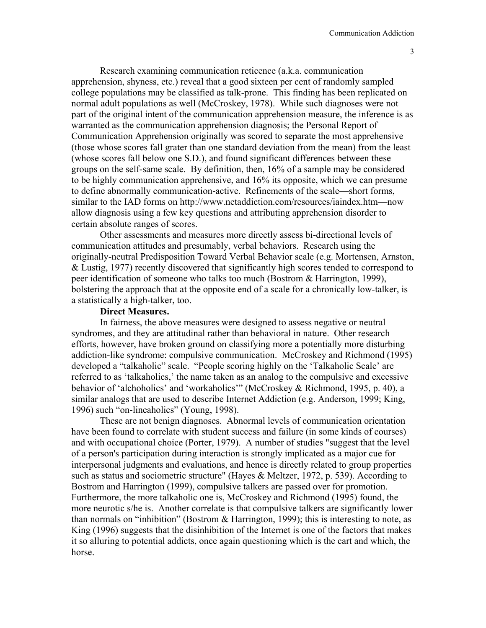Research examining communication reticence (a.k.a. communication apprehension, shyness, etc.) reveal that a good sixteen per cent of randomly sampled college populations may be classified as talk-prone. This finding has been replicated on normal adult populations as well (McCroskey, 1978). While such diagnoses were not part of the original intent of the communication apprehension measure, the inference is as warranted as the communication apprehension diagnosis; the Personal Report of Communication Apprehension originally was scored to separate the most apprehensive (those whose scores fall grater than one standard deviation from the mean) from the least (whose scores fall below one S.D.), and found significant differences between these groups on the self-same scale. By definition, then, 16% of a sample may be considered to be highly communication apprehensive, and 16% its opposite, which we can presume to define abnormally communication-active. Refinements of the scale—short forms, similar to the IAD forms on http://www.netaddiction.com/resources/iaindex.htm—now allow diagnosis using a few key questions and attributing apprehension disorder to certain absolute ranges of scores.

Other assessments and measures more directly assess bi-directional levels of communication attitudes and presumably, verbal behaviors. Research using the originally-neutral Predisposition Toward Verbal Behavior scale (e.g. Mortensen, Arnston, & Lustig, 1977) recently discovered that significantly high scores tended to correspond to peer identification of someone who talks too much (Bostrom & Harrington, 1999), bolstering the approach that at the opposite end of a scale for a chronically low-talker, is a statistically a high-talker, too.

## **Direct Measures.**

 In fairness, the above measures were designed to assess negative or neutral syndromes, and they are attitudinal rather than behavioral in nature. Other research efforts, however, have broken ground on classifying more a potentially more disturbing addiction-like syndrome: compulsive communication. McCroskey and Richmond (1995) developed a "talkaholic" scale. "People scoring highly on the 'Talkaholic Scale' are referred to as 'talkaholics,' the name taken as an analog to the compulsive and excessive behavior of 'alchoholics' and 'workaholics'" (McCroskey & Richmond, 1995, p. 40), a similar analogs that are used to describe Internet Addiction (e.g. Anderson, 1999; King, 1996) such "on-lineaholics" (Young, 1998).

These are not benign diagnoses. Abnormal levels of communication orientation have been found to correlate with student success and failure (in some kinds of courses) and with occupational choice (Porter, 1979). A number of studies "suggest that the level of a person's participation during interaction is strongly implicated as a major cue for interpersonal judgments and evaluations, and hence is directly related to group properties such as status and sociometric structure" (Hayes & Meltzer, 1972, p. 539). According to Bostrom and Harrington (1999), compulsive talkers are passed over for promotion. Furthermore, the more talkaholic one is, McCroskey and Richmond (1995) found, the more neurotic s/he is. Another correlate is that compulsive talkers are significantly lower than normals on "inhibition" (Bostrom  $\&$  Harrington, 1999); this is interesting to note, as King (1996) suggests that the disinhibition of the Internet is one of the factors that makes it so alluring to potential addicts, once again questioning which is the cart and which, the horse.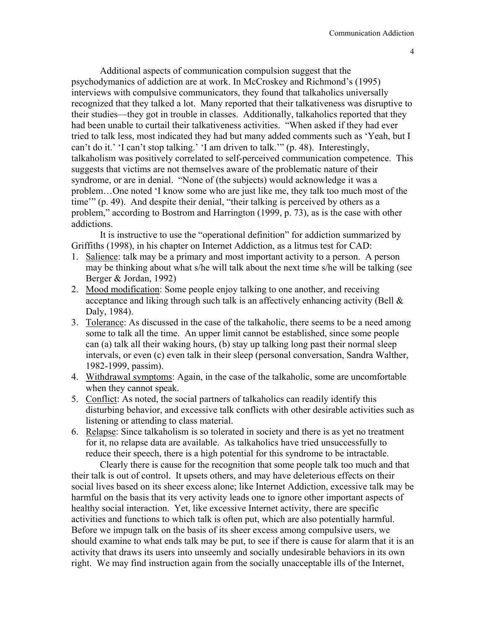Additional aspects of communication compulsion suggest that the psychodymanics of addiction are at work. In McCroskey and Richmond's (1995) interviews with compulsive communicators, they found that talkaholics universally recognized that they talked a lot. Many reported that their talkativeness was disruptive to their studies—they got in trouble in classes. Additionally, talkaholics reported that they had been unable to curtail their talkativeness activities. "When asked if they had ever tried to talk less, most indicated they had but many added comments such as 'Yeah, but I can't do it.' 'I can't stop talking.' 'I am driven to talk.'" (p. 48). Interestingly, talkaholism was positively correlated to self-perceived communication competence. This suggests that victims are not themselves aware of the problematic nature of their syndrome, or are in denial. "None of (the subjects) would acknowledge it was a problem…One noted 'I know some who are just like me, they talk too much most of the time'" (p. 49). And despite their denial, "their talking is perceived by others as a problem," according to Bostrom and Harrington (1999, p. 73), as is the case with other addictions.

It is instructive to use the "operational definition" for addiction summarized by Griffiths (1998), in his chapter on Internet Addiction, as a litmus test for CAD:

- 1. Salience: talk may be a primary and most important activity to a person. A person may be thinking about what s/he will talk about the next time s/he will be talking (see Berger & Jordan, 1992)
- 2. Mood modification: Some people enjoy talking to one another, and receiving acceptance and liking through such talk is an affectively enhancing activity (Bell & Daly, 1984).
- 3. Tolerance: As discussed in the case of the talkaholic, there seems to be a need among some to talk all the time. An upper limit cannot be established, since some people can (a) talk all their waking hours, (b) stay up talking long past their normal sleep intervals, or even (c) even talk in their sleep (personal conversation, Sandra Walther, 1982-1999, passim).
- 4. Withdrawal symptoms: Again, in the case of the talkaholic, some are uncomfortable when they cannot speak.
- 5. Conflict: As noted, the social partners of talkaholics can readily identify this disturbing behavior, and excessive talk conflicts with other desirable activities such as listening or attending to class material.
- 6. Relapse: Since talkaholism is so tolerated in society and there is as yet no treatment for it, no relapse data are available. As talkaholics have tried unsuccessfully to reduce their speech, there is a high potential for this syndrome to be intractable.

Clearly there is cause for the recognition that some people talk too much and that their talk is out of control. It upsets others, and may have deleterious effects on their social lives based on its sheer excess alone; like Internet Addiction, excessive talk may be harmful on the basis that its very activity leads one to ignore other important aspects of healthy social interaction. Yet, like excessive Internet activity, there are specific activities and functions to which talk is often put, which are also potentially harmful. Before we impugn talk on the basis of its sheer excess among compulsive users, we should examine to what ends talk may be put, to see if there is cause for alarm that it is an activity that draws its users into unseemly and socially undesirable behaviors in its own right. We may find instruction again from the socially unacceptable ills of the Internet,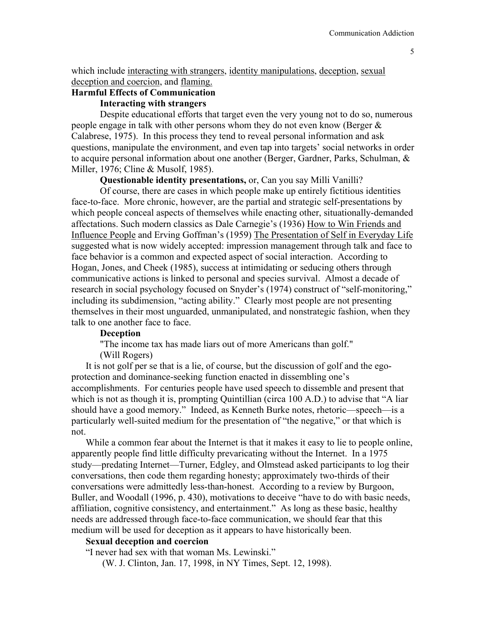which include interacting with strangers, identity manipulations, deception, sexual deception and coercion, and flaming.

# **Harmful Effects of Communication**

# **Interacting with strangers**

Despite educational efforts that target even the very young not to do so, numerous people engage in talk with other persons whom they do not even know (Berger & Calabrese, 1975). In this process they tend to reveal personal information and ask questions, manipulate the environment, and even tap into targets' social networks in order to acquire personal information about one another (Berger, Gardner, Parks, Schulman, & Miller, 1976; Cline & Musolf, 1985).

**Questionable identity presentations,** or, Can you say Milli Vanilli?

Of course, there are cases in which people make up entirely fictitious identities face-to-face. More chronic, however, are the partial and strategic self-presentations by which people conceal aspects of themselves while enacting other, situationally-demanded affectations. Such modern classics as Dale Carnegie's (1936) How to Win Friends and Influence People and Erving Goffman's (1959) The Presentation of Self in Everyday Life suggested what is now widely accepted: impression management through talk and face to face behavior is a common and expected aspect of social interaction. According to Hogan, Jones, and Cheek (1985), success at intimidating or seducing others through communicative actions is linked to personal and species survival. Almost a decade of research in social psychology focused on Snyder's (1974) construct of "self-monitoring," including its subdimension, "acting ability." Clearly most people are not presenting themselves in their most unguarded, unmanipulated, and nonstrategic fashion, when they talk to one another face to face.

## **Deception**

"The income tax has made liars out of more Americans than golf."

(Will Rogers)

It is not golf per se that is a lie, of course, but the discussion of golf and the egoprotection and dominance-seeking function enacted in dissembling one's accomplishments. For centuries people have used speech to dissemble and present that which is not as though it is, prompting Quintillian (circa 100 A.D.) to advise that "A liar should have a good memory." Indeed, as Kenneth Burke notes, rhetoric—speech—is a particularly well-suited medium for the presentation of "the negative," or that which is not.

While a common fear about the Internet is that it makes it easy to lie to people online, apparently people find little difficulty prevaricating without the Internet. In a 1975 study—predating Internet—Turner, Edgley, and Olmstead asked participants to log their conversations, then code them regarding honesty; approximately two-thirds of their conversations were admittedly less-than-honest. According to a review by Burgoon, Buller, and Woodall (1996, p. 430), motivations to deceive "have to do with basic needs, affiliation, cognitive consistency, and entertainment." As long as these basic, healthy needs are addressed through face-to-face communication, we should fear that this medium will be used for deception as it appears to have historically been.

## **Sexual deception and coercion**

"I never had sex with that woman Ms. Lewinski."

(W. J. Clinton, Jan. 17, 1998, in NY Times, Sept. 12, 1998).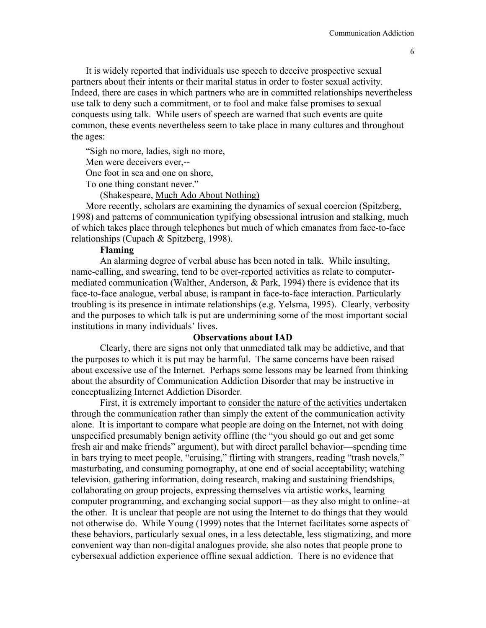It is widely reported that individuals use speech to deceive prospective sexual partners about their intents or their marital status in order to foster sexual activity. Indeed, there are cases in which partners who are in committed relationships nevertheless use talk to deny such a commitment, or to fool and make false promises to sexual conquests using talk. While users of speech are warned that such events are quite common, these events nevertheless seem to take place in many cultures and throughout the ages:

"Sigh no more, ladies, sigh no more,

Men were deceivers ever,--

One foot in sea and one on shore,

To one thing constant never."

(Shakespeare, Much Ado About Nothing)

More recently, scholars are examining the dynamics of sexual coercion (Spitzberg, 1998) and patterns of communication typifying obsessional intrusion and stalking, much of which takes place through telephones but much of which emanates from face-to-face relationships (Cupach & Spitzberg, 1998).

### **Flaming**

 An alarming degree of verbal abuse has been noted in talk. While insulting, name-calling, and swearing, tend to be over-reported activities as relate to computermediated communication (Walther, Anderson, & Park, 1994) there is evidence that its face-to-face analogue, verbal abuse, is rampant in face-to-face interaction. Particularly troubling is its presence in intimate relationships (e.g. Yelsma, 1995). Clearly, verbosity and the purposes to which talk is put are undermining some of the most important social institutions in many individuals' lives.

### **Observations about IAD**

Clearly, there are signs not only that unmediated talk may be addictive, and that the purposes to which it is put may be harmful. The same concerns have been raised about excessive use of the Internet. Perhaps some lessons may be learned from thinking about the absurdity of Communication Addiction Disorder that may be instructive in conceptualizing Internet Addiction Disorder.

First, it is extremely important to consider the nature of the activities undertaken through the communication rather than simply the extent of the communication activity alone. It is important to compare what people are doing on the Internet, not with doing unspecified presumably benign activity offline (the "you should go out and get some fresh air and make friends" argument), but with direct parallel behavior—spending time in bars trying to meet people, "cruising," flirting with strangers, reading "trash novels," masturbating, and consuming pornography, at one end of social acceptability; watching television, gathering information, doing research, making and sustaining friendships, collaborating on group projects, expressing themselves via artistic works, learning computer programming, and exchanging social support—as they also might to online--at the other. It is unclear that people are not using the Internet to do things that they would not otherwise do. While Young (1999) notes that the Internet facilitates some aspects of these behaviors, particularly sexual ones, in a less detectable, less stigmatizing, and more convenient way than non-digital analogues provide, she also notes that people prone to cybersexual addiction experience offline sexual addiction. There is no evidence that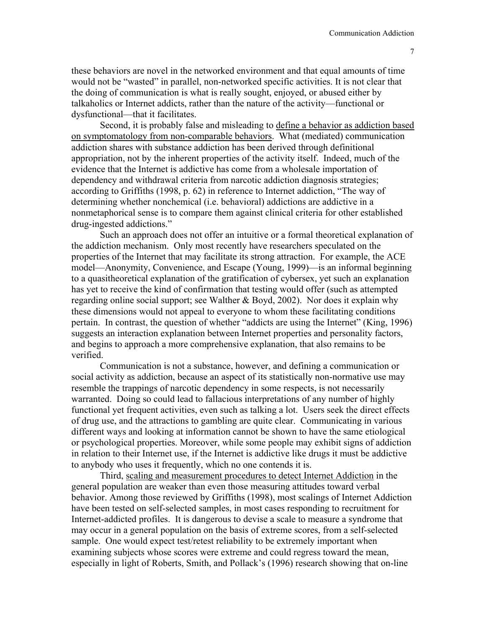these behaviors are novel in the networked environment and that equal amounts of time would not be "wasted" in parallel, non-networked specific activities. It is not clear that the doing of communication is what is really sought, enjoyed, or abused either by talkaholics or Internet addicts, rather than the nature of the activity—functional or dysfunctional—that it facilitates.

Second, it is probably false and misleading to define a behavior as addiction based on symptomatology from non-comparable behaviors. What (mediated) communication addiction shares with substance addiction has been derived through definitional appropriation, not by the inherent properties of the activity itself. Indeed, much of the evidence that the Internet is addictive has come from a wholesale importation of dependency and withdrawal criteria from narcotic addiction diagnosis strategies; according to Griffiths (1998, p. 62) in reference to Internet addiction, "The way of determining whether nonchemical (i.e. behavioral) addictions are addictive in a nonmetaphorical sense is to compare them against clinical criteria for other established drug-ingested addictions."

Such an approach does not offer an intuitive or a formal theoretical explanation of the addiction mechanism. Only most recently have researchers speculated on the properties of the Internet that may facilitate its strong attraction. For example, the ACE model—Anonymity, Convenience, and Escape (Young, 1999)—is an informal beginning to a quasitheoretical explanation of the gratification of cybersex, yet such an explanation has yet to receive the kind of confirmation that testing would offer (such as attempted regarding online social support; see Walther & Boyd, 2002). Nor does it explain why these dimensions would not appeal to everyone to whom these facilitating conditions pertain. In contrast, the question of whether "addicts are using the Internet" (King, 1996) suggests an interaction explanation between Internet properties and personality factors, and begins to approach a more comprehensive explanation, that also remains to be verified.

Communication is not a substance, however, and defining a communication or social activity as addiction, because an aspect of its statistically non-normative use may resemble the trappings of narcotic dependency in some respects, is not necessarily warranted. Doing so could lead to fallacious interpretations of any number of highly functional yet frequent activities, even such as talking a lot. Users seek the direct effects of drug use, and the attractions to gambling are quite clear. Communicating in various different ways and looking at information cannot be shown to have the same etiological or psychological properties. Moreover, while some people may exhibit signs of addiction in relation to their Internet use, if the Internet is addictive like drugs it must be addictive to anybody who uses it frequently, which no one contends it is.

Third, scaling and measurement procedures to detect Internet Addiction in the general population are weaker than even those measuring attitudes toward verbal behavior. Among those reviewed by Griffiths (1998), most scalings of Internet Addiction have been tested on self-selected samples, in most cases responding to recruitment for Internet-addicted profiles. It is dangerous to devise a scale to measure a syndrome that may occur in a general population on the basis of extreme scores, from a self-selected sample. One would expect test/retest reliability to be extremely important when examining subjects whose scores were extreme and could regress toward the mean, especially in light of Roberts, Smith, and Pollack's (1996) research showing that on-line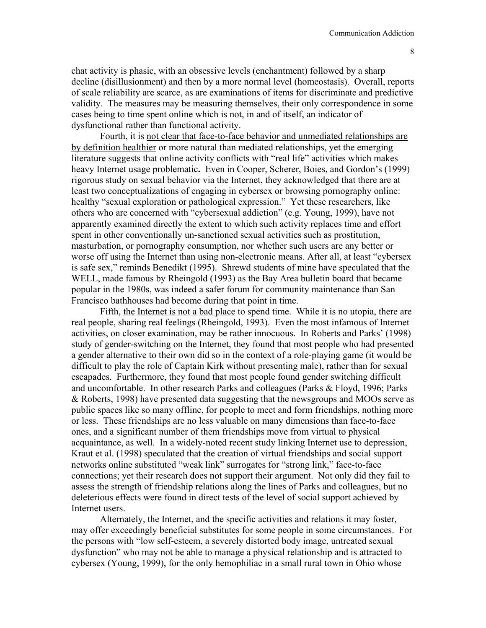chat activity is phasic, with an obsessive levels (enchantment) followed by a sharp decline (disillusionment) and then by a more normal level (homeostasis). Overall, reports of scale reliability are scarce, as are examinations of items for discriminate and predictive validity. The measures may be measuring themselves, their only correspondence in some cases being to time spent online which is not, in and of itself, an indicator of dysfunctional rather than functional activity.

Fourth, it is not clear that face-to-face behavior and unmediated relationships are by definition healthier or more natural than mediated relationships, yet the emerging literature suggests that online activity conflicts with "real life" activities which makes heavy Internet usage problematic**.** Even in Cooper, Scherer, Boies, and Gordon's (1999) rigorous study on sexual behavior via the Internet, they acknowledged that there are at least two conceptualizations of engaging in cybersex or browsing pornography online: healthy "sexual exploration or pathological expression." Yet these researchers, like others who are concerned with "cybersexual addiction" (e.g. Young, 1999), have not apparently examined directly the extent to which such activity replaces time and effort spent in other conventionally un-sanctioned sexual activities such as prostitution, masturbation, or pornography consumption, nor whether such users are any better or worse off using the Internet than using non-electronic means. After all, at least "cybersex is safe sex," reminds Benedikt (1995). Shrewd students of mine have speculated that the WELL, made famous by Rheingold (1993) as the Bay Area bulletin board that became popular in the 1980s, was indeed a safer forum for community maintenance than San Francisco bathhouses had become during that point in time.

Fifth, the Internet is not a bad place to spend time. While it is no utopia, there are real people, sharing real feelings (Rheingold, 1993). Even the most infamous of Internet activities, on closer examination, may be rather innocuous. In Roberts and Parks' (1998) study of gender-switching on the Internet, they found that most people who had presented a gender alternative to their own did so in the context of a role-playing game (it would be difficult to play the role of Captain Kirk without presenting male), rather than for sexual escapades. Furthermore, they found that most people found gender switching difficult and uncomfortable. In other research Parks and colleagues (Parks & Floyd, 1996; Parks & Roberts, 1998) have presented data suggesting that the newsgroups and MOOs serve as public spaces like so many offline, for people to meet and form friendships, nothing more or less. These friendships are no less valuable on many dimensions than face-to-face ones, and a significant number of them friendships move from virtual to physical acquaintance, as well. In a widely-noted recent study linking Internet use to depression, Kraut et al. (1998) speculated that the creation of virtual friendships and social support networks online substituted "weak link" surrogates for "strong link," face-to-face connections; yet their research does not support their argument. Not only did they fail to assess the strength of friendship relations along the lines of Parks and colleagues, but no deleterious effects were found in direct tests of the level of social support achieved by Internet users.

Alternately, the Internet, and the specific activities and relations it may foster, may offer exceedingly beneficial substitutes for some people in some circumstances. For the persons with "low self-esteem, a severely distorted body image, untreated sexual dysfunction" who may not be able to manage a physical relationship and is attracted to cybersex (Young, 1999), for the only hemophiliac in a small rural town in Ohio whose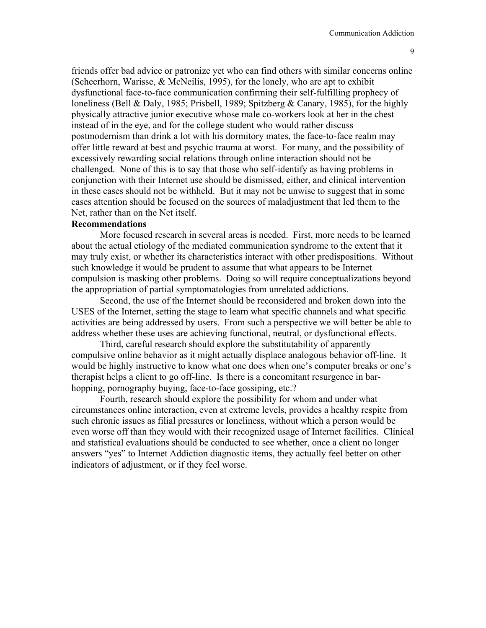friends offer bad advice or patronize yet who can find others with similar concerns online (Scheerhorn, Warisse, & McNeilis, 1995), for the lonely, who are apt to exhibit dysfunctional face-to-face communication confirming their self-fulfilling prophecy of loneliness (Bell & Daly, 1985; Prisbell, 1989; Spitzberg & Canary, 1985), for the highly physically attractive junior executive whose male co-workers look at her in the chest instead of in the eye, and for the college student who would rather discuss postmodernism than drink a lot with his dormitory mates, the face-to-face realm may offer little reward at best and psychic trauma at worst. For many, and the possibility of excessively rewarding social relations through online interaction should not be challenged. None of this is to say that those who self-identify as having problems in conjunction with their Internet use should be dismissed, either, and clinical intervention in these cases should not be withheld. But it may not be unwise to suggest that in some cases attention should be focused on the sources of maladjustment that led them to the Net, rather than on the Net itself.

# **Recommendations**

More focused research in several areas is needed. First, more needs to be learned about the actual etiology of the mediated communication syndrome to the extent that it may truly exist, or whether its characteristics interact with other predispositions. Without such knowledge it would be prudent to assume that what appears to be Internet compulsion is masking other problems. Doing so will require conceptualizations beyond the appropriation of partial symptomatologies from unrelated addictions.

Second, the use of the Internet should be reconsidered and broken down into the USES of the Internet, setting the stage to learn what specific channels and what specific activities are being addressed by users. From such a perspective we will better be able to address whether these uses are achieving functional, neutral, or dysfunctional effects.

Third, careful research should explore the substitutability of apparently compulsive online behavior as it might actually displace analogous behavior off-line. It would be highly instructive to know what one does when one's computer breaks or one's therapist helps a client to go off-line. Is there is a concomitant resurgence in barhopping, pornography buying, face-to-face gossiping, etc.?

Fourth, research should explore the possibility for whom and under what circumstances online interaction, even at extreme levels, provides a healthy respite from such chronic issues as filial pressures or loneliness, without which a person would be even worse off than they would with their recognized usage of Internet facilities. Clinical and statistical evaluations should be conducted to see whether, once a client no longer answers "yes" to Internet Addiction diagnostic items, they actually feel better on other indicators of adjustment, or if they feel worse.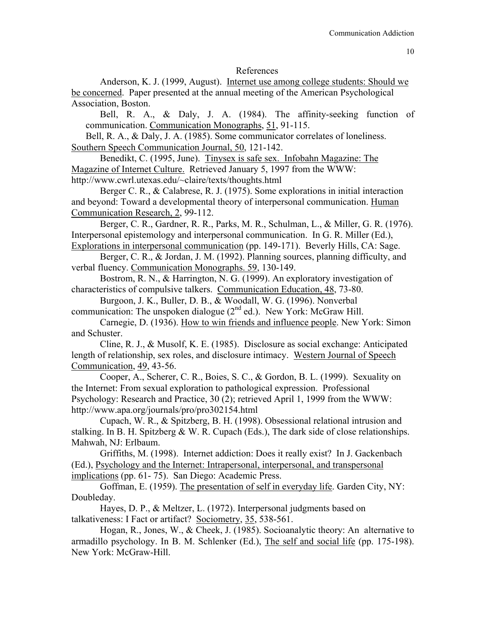#### References

 Anderson, K. J. (1999, August). Internet use among college students: Should we be concerned. Paper presented at the annual meeting of the American Psychological Association, Boston.

Bell, R. A., & Daly, J. A. (1984). The affinity-seeking function of communication. Communication Monographs, 51, 91-115.

Bell, R. A., & Daly, J. A. (1985). Some communicator correlates of loneliness. Southern Speech Communication Journal, 50, 121-142.

 Benedikt, C. (1995, June). Tinysex is safe sex. Infobahn Magazine: The Magazine of Internet Culture. Retrieved January 5, 1997 from the WWW: http://www.cwrl.utexas.edu/~claire/texts/thoughts.html

 Berger C. R., & Calabrese, R. J. (1975). Some explorations in initial interaction and beyond: Toward a developmental theory of interpersonal communication. Human Communication Research, 2, 99-112.

 Berger, C. R., Gardner, R. R., Parks, M. R., Schulman, L., & Miller, G. R. (1976). Interpersonal epistemology and interpersonal communication. In G. R. Miller (Ed.), Explorations in interpersonal communication (pp. 149-171). Beverly Hills, CA: Sage.

Berger, C. R., & Jordan, J. M. (1992). Planning sources, planning difficulty, and verbal fluency. Communication Monographs. 59, 130-149.

Bostrom, R. N., & Harrington, N. G. (1999). An exploratory investigation of characteristics of compulsive talkers. Communication Education, 48, 73-80.

Burgoon, J. K., Buller, D. B., & Woodall, W. G. (1996). Nonverbal communication: The unspoken dialogue  $(2<sup>nd</sup>$  ed.). New York: McGraw Hill.

Carnegie, D. (1936). How to win friends and influence people. New York: Simon and Schuster.

 Cline, R. J., & Musolf, K. E. (1985). Disclosure as social exchange: Anticipated length of relationship, sex roles, and disclosure intimacy. Western Journal of Speech Communication, 49, 43-56.

 Cooper, A., Scherer, C. R., Boies, S. C., & Gordon, B. L. (1999). Sexuality on the Internet: From sexual exploration to pathological expression. Professional Psychology: Research and Practice, 30 (2); retrieved April 1, 1999 from the WWW: http://www.apa.org/journals/pro/pro302154.html

Cupach, W. R., & Spitzberg, B. H. (1998). Obsessional relational intrusion and stalking. In B. H. Spitzberg & W. R. Cupach (Eds.), The dark side of close relationships. Mahwah, NJ: Erlbaum.

Griffiths, M. (1998). Internet addiction: Does it really exist? In J. Gackenbach (Ed.), Psychology and the Internet: Intrapersonal, interpersonal, and transpersonal implications (pp. 61- 75). San Diego: Academic Press.

Goffman, E. (1959). The presentation of self in everyday life. Garden City, NY: Doubleday.

Hayes, D. P., & Meltzer, L. (1972). Interpersonal judgments based on talkativeness: I Fact or artifact? Sociometry, 35, 538-561.

Hogan, R., Jones, W., & Cheek, J. (1985). Socioanalytic theory: An alternative to armadillo psychology. In B. M. Schlenker (Ed.), The self and social life (pp. 175-198). New York: McGraw-Hill.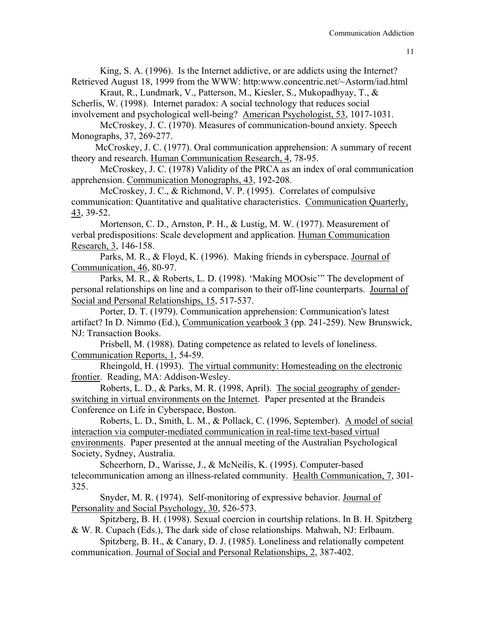King, S. A. (1996). Is the Internet addictive, or are addicts using the Internet? Retrieved August 18, 1999 from the WWW: http:www.concentric.net/~Astorm/iad.html

Kraut, R., Lundmark, V., Patterson, M., Kiesler, S., Mukopadhyay, T., & Scherlis, W. (1998). Internet paradox: A social technology that reduces social

involvement and psychological well-being? American Psychologist, 53, 1017-1031. McCroskey, J. C. (1970). Measures of communication-bound anxiety. Speech Monographs, 37, 269-277.

 McCroskey, J. C. (1977). Oral communication apprehension: A summary of recent theory and research. Human Communication Research, 4, 78-95.

McCroskey, J. C. (1978) Validity of the PRCA as an index of oral communication apprehension. Communication Monographs, 43, 192-208.

McCroskey, J. C., & Richmond, V. P. (1995). Correlates of compulsive communication: Quantitative and qualitative characteristics. Communication Quarterly, 43, 39-52.

Mortenson, C. D., Arnston, P. H., & Lustig, M. W. (1977). Measurement of verbal predispositions: Scale development and application. Human Communication Research, 3, 146-158.

Parks, M. R., & Floyd, K. (1996). Making friends in cyberspace. Journal of Communication, 46, 80-97.

Parks, M. R., & Roberts, L. D. (1998). 'Making MOOsic'" The development of personal relationships on line and a comparison to their off-line counterparts. Journal of Social and Personal Relationships, 15, 517-537.

Porter, D. T. (1979). Communication apprehension: Communication's latest artifact? In D. Nimmo (Ed.), Communication yearbook 3 (pp. 241-259). New Brunswick, NJ: Transaction Books.

Prisbell, M. (1988). Dating competence as related to levels of loneliness. Communication Reports, 1, 54-59.

Rheingold, H. (1993). The virtual community: Homesteading on the electronic frontier. Reading, MA: Addison-Wesley.

Roberts, L. D., & Parks, M. R. (1998, April). The social geography of genderswitching in virtual environments on the Internet. Paper presented at the Brandeis Conference on Life in Cyberspace, Boston.

Roberts, L. D., Smith, L. M., & Pollack, C. (1996, September). A model of social interaction via computer-mediated communication in real-time text-based virtual environments. Paper presented at the annual meeting of the Australian Psychological Society, Sydney, Australia.

Scheerhorn, D., Warisse, J., & McNeilis, K. (1995). Computer-based telecommunication among an illness-related community. Health Communication, 7, 301- 325.

Snyder, M. R. (1974). Self-monitoring of expressive behavior. Journal of Personality and Social Psychology, 30, 526-573.

Spitzberg, B. H. (1998). Sexual coercion in courtship relations. In B. H. Spitzberg & W. R. Cupach (Eds.), The dark side of close relationships. Mahwah, NJ: Erlbaum.

Spitzberg, B. H., & Canary, D. J. (1985). Loneliness and relationally competent communication. Journal of Social and Personal Relationships, 2, 387-402.